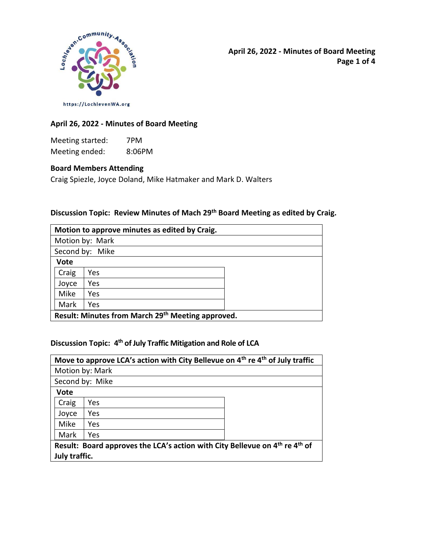

**April 26, 2022 - Minutes of Board Meeting Page 1 of 4**

**April 26, 2022 - Minutes of Board Meeting** 

Meeting started: 7PM Meeting ended: 8:06PM

### **Board Members Attending**

Craig Spiezle, Joyce Doland, Mike Hatmaker and Mark D. Walters

### **Discussion Topic: Review Minutes of Mach 29 th Board Meeting as edited by Craig.**

| Motion to approve minutes as edited by Craig.     |     |  |  |  |
|---------------------------------------------------|-----|--|--|--|
| Motion by: Mark                                   |     |  |  |  |
| Second by: Mike                                   |     |  |  |  |
| <b>Vote</b>                                       |     |  |  |  |
| Craig                                             | Yes |  |  |  |
| Joyce                                             | Yes |  |  |  |
| Mike                                              | Yes |  |  |  |
| Mark                                              | Yes |  |  |  |
| Result: Minutes from March 29th Meeting approved. |     |  |  |  |

# **Discussion Topic: 4 th of July Traffic Mitigation and Role of LCA**

| Move to approve LCA's action with City Bellevue on 4 <sup>th</sup> re 4 <sup>th</sup> of July traffic |     |  |  |  |
|-------------------------------------------------------------------------------------------------------|-----|--|--|--|
| Motion by: Mark                                                                                       |     |  |  |  |
| Second by: Mike                                                                                       |     |  |  |  |
| <b>Vote</b>                                                                                           |     |  |  |  |
| Craig                                                                                                 | Yes |  |  |  |
| Joyce                                                                                                 | Yes |  |  |  |
| Mike                                                                                                  | Yes |  |  |  |
| Mark                                                                                                  | Yes |  |  |  |
| Result: Board approves the LCA's action with City Bellevue on 4 <sup>th</sup> re 4 <sup>th</sup> of   |     |  |  |  |
| July traffic.                                                                                         |     |  |  |  |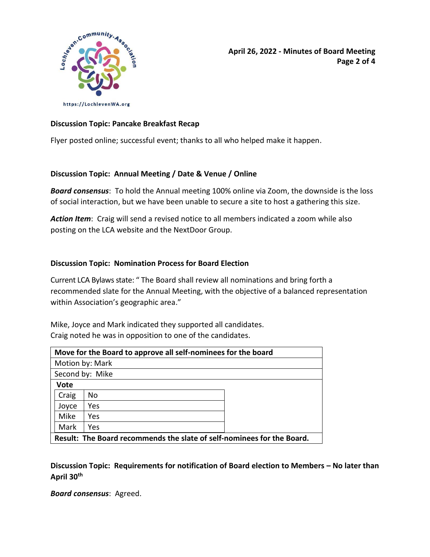

**April 26, 2022 - Minutes of Board Meeting Page 2 of 4**

### **Discussion Topic: Pancake Breakfast Recap**

Flyer posted online; successful event; thanks to all who helped make it happen.

### **Discussion Topic: Annual Meeting / Date & Venue / Online**

*Board consensus*: To hold the Annual meeting 100% online via Zoom, the downside is the loss of social interaction, but we have been unable to secure a site to host a gathering this size.

*Action Item*: Craig will send a revised notice to all members indicated a zoom while also posting on the LCA website and the NextDoor Group.

### **Discussion Topic: Nomination Process for Board Election**

Current LCA Bylaws state: " The Board shall review all nominations and bring forth a recommended slate for the Annual Meeting, with the objective of a balanced representation within Association's geographic area."

Mike, Joyce and Mark indicated they supported all candidates. Craig noted he was in opposition to one of the candidates.

| Move for the Board to approve all self-nominees for the board          |     |  |  |
|------------------------------------------------------------------------|-----|--|--|
| Motion by: Mark                                                        |     |  |  |
| Second by: Mike                                                        |     |  |  |
| <b>Vote</b>                                                            |     |  |  |
| Craig                                                                  | No  |  |  |
| Joyce                                                                  | Yes |  |  |
| Mike                                                                   | Yes |  |  |
| Mark                                                                   | Yes |  |  |
| Result: The Board recommends the slate of self-nominees for the Board. |     |  |  |

**Discussion Topic: Requirements for notification of Board election to Members – No later than April 30th**

*Board consensus*: Agreed.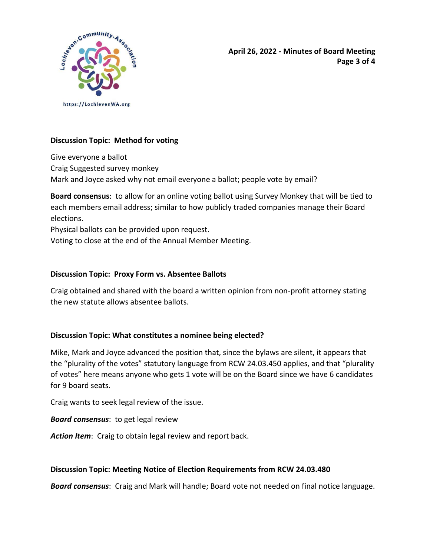

**April 26, 2022 - Minutes of Board Meeting Page 3 of 4**

# **Discussion Topic: Method for voting**

Give everyone a ballot Craig Suggested survey monkey Mark and Joyce asked why not email everyone a ballot; people vote by email?

**Board consensus**: to allow for an online voting ballot using Survey Monkey that will be tied to each members email address; similar to how publicly traded companies manage their Board elections.

Physical ballots can be provided upon request.

Voting to close at the end of the Annual Member Meeting.

### **Discussion Topic: Proxy Form vs. Absentee Ballots**

Craig obtained and shared with the board a written opinion from non-profit attorney stating the new statute allows absentee ballots.

# **Discussion Topic: What constitutes a nominee being elected?**

Mike, Mark and Joyce advanced the position that, since the bylaws are silent, it appears that the "plurality of the votes" statutory language from RCW 24.03.450 applies, and that "plurality of votes" here means anyone who gets 1 vote will be on the Board since we have 6 candidates for 9 board seats.

Craig wants to seek legal review of the issue.

*Board consensus*: to get legal review

*Action Item*: Craig to obtain legal review and report back.

### **Discussion Topic: Meeting Notice of Election Requirements from RCW 24.03.480**

*Board consensus*: Craig and Mark will handle; Board vote not needed on final notice language.